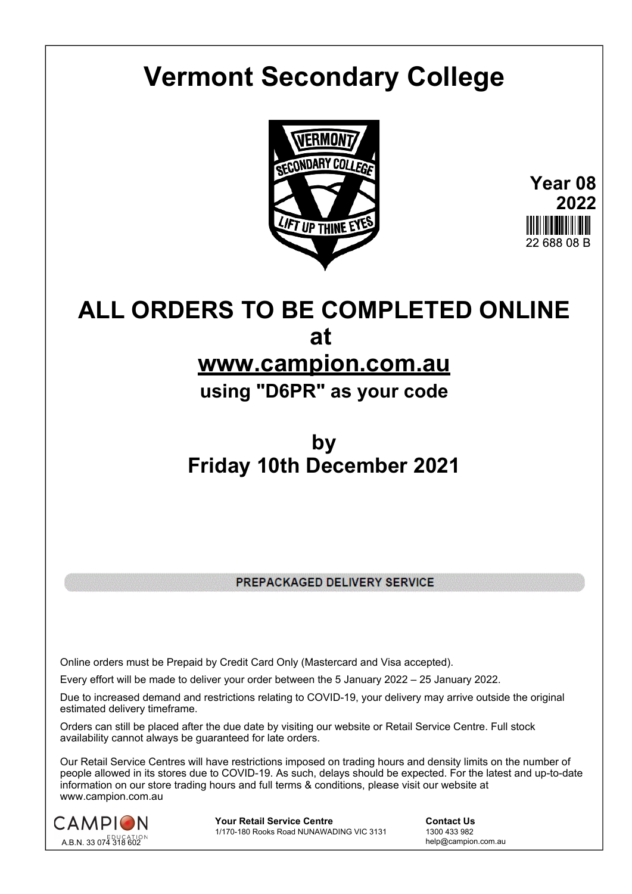## **Vermont Secondary College**



**Year 08 2022** 22 688 08 B

## **ALL ORDERS TO BE COMPLETED ONLINE at**

## **www.campion.com.au**

**using "D6PR" as your code**

## **by Friday 10th December 2021**

PREPACKAGED DELIVERY SERVICE

Online orders must be Prepaid by Credit Card Only (Mastercard and Visa accepted).

Every effort will be made to deliver your order between the 5 January 2022 – 25 January 2022.

Due to increased demand and restrictions relating to COVID-19, your delivery may arrive outside the original estimated delivery timeframe.

Orders can still be placed after the due date by visiting our website or Retail Service Centre. Full stock availability cannot always be guaranteed for late orders.

Our Retail Service Centres will have restrictions imposed on trading hours and density limits on the number of people allowed in its stores due to COVID-19. As such, delays should be expected. For the latest and up-to-date information on our store trading hours and full terms & conditions, please visit our website at www.campion.com.au



**Your Retail Service Centre Contact Us**<br>
1770-180 Rooks Road NUNAWADING VIC 3131
1300 433 982 1/170-180 Rooks Road NUNAWADING VIC 3131

help@campion.com.au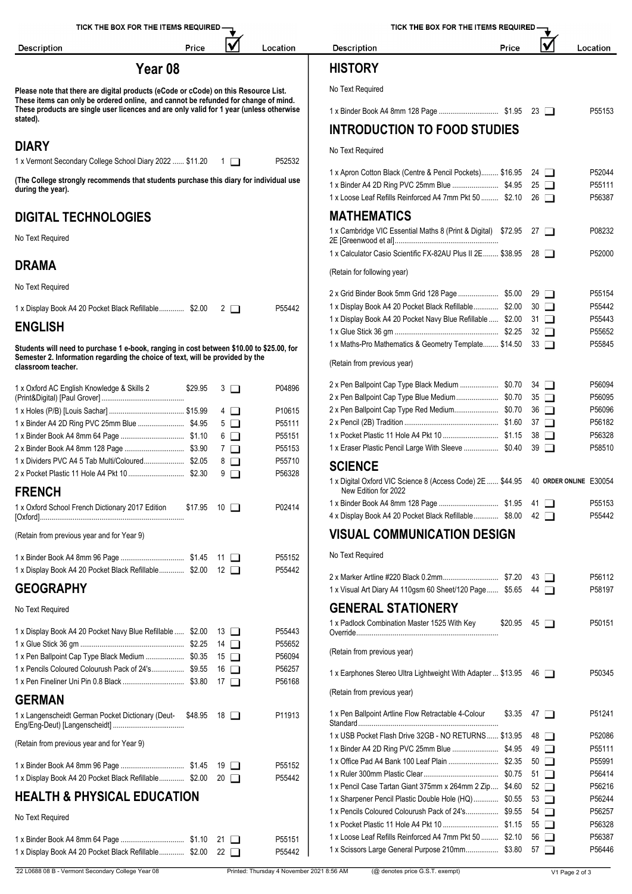| TICK THE BOX FOR THE ITEMS REQUIRED -                                                                                                                                         | TICK THE BOX FOR THE ITEMS REQUIRED |                  |                                                                                                                  |       |                          |                  |
|-------------------------------------------------------------------------------------------------------------------------------------------------------------------------------|-------------------------------------|------------------|------------------------------------------------------------------------------------------------------------------|-------|--------------------------|------------------|
| Price<br><b>Description</b>                                                                                                                                                   | lV                                  | Location         | <b>Description</b>                                                                                               | Price | V                        | Location         |
| Year <sub>08</sub>                                                                                                                                                            |                                     |                  | <b>HISTORY</b>                                                                                                   |       |                          |                  |
| Please note that there are digital products (eCode or cCode) on this Resource List.                                                                                           |                                     |                  | No Text Required                                                                                                 |       |                          |                  |
| These items can only be ordered online, and cannot be refunded for change of mind.<br>These products are single user licences and are only valid for 1 year (unless otherwise |                                     |                  |                                                                                                                  |       |                          | P55153           |
| stated).                                                                                                                                                                      |                                     |                  | <b>INTRODUCTION TO FOOD STUDIES</b>                                                                              |       |                          |                  |
| <b>DIARY</b>                                                                                                                                                                  |                                     |                  | No Text Required                                                                                                 |       |                          |                  |
| 1 x Vermont Secondary College School Diary 2022  \$11.20 1                                                                                                                    |                                     | P52532           |                                                                                                                  |       |                          |                  |
| (The College strongly recommends that students purchase this diary for individual use                                                                                         |                                     |                  | 1 x Apron Cotton Black (Centre & Pencil Pockets) \$16.95 24                                                      |       |                          | P52044<br>P55111 |
| during the year).                                                                                                                                                             |                                     |                  | 1 x Loose Leaf Refills Reinforced A4 7mm Pkt 50  \$2.10 26                                                       |       |                          | P56387           |
| <b>DIGITAL TECHNOLOGIES</b>                                                                                                                                                   |                                     |                  | <b>MATHEMATICS</b>                                                                                               |       |                          |                  |
| No Text Required                                                                                                                                                              |                                     |                  | 1 x Cambridge VIC Essential Maths 8 (Print & Digital) \$72.95 27                                                 |       |                          | P08232           |
|                                                                                                                                                                               |                                     |                  | 1 x Calculator Casio Scientific FX-82AU Plus II 2E \$38.95 28                                                    |       |                          | P52000           |
| <b>DRAMA</b>                                                                                                                                                                  |                                     |                  | (Retain for following year)                                                                                      |       |                          |                  |
| No Text Required                                                                                                                                                              |                                     |                  |                                                                                                                  |       |                          |                  |
|                                                                                                                                                                               |                                     |                  | 1 x Display Book A4 20 Pocket Black Refillable \$2.00 30                                                         |       |                          | P55154<br>P55442 |
| 1 x Display Book A4 20 Pocket Black Refillable \$2.00 2                                                                                                                       |                                     | P55442           | 1 x Display Book A4 20 Pocket Navy Blue Refillable  \$2.00 31                                                    |       |                          | P55443           |
| <b>ENGLISH</b>                                                                                                                                                                |                                     |                  |                                                                                                                  |       |                          | P55652           |
| Students will need to purchase 1 e-book, ranging in cost between \$10.00 to \$25.00, for                                                                                      |                                     |                  | 1 x Maths-Pro Mathematics & Geometry Template \$14.50 33                                                         |       |                          | P55845           |
| Semester 2. Information regarding the choice of text, will be provided by the<br>classroom teacher.                                                                           |                                     |                  | (Retain from previous year)                                                                                      |       |                          |                  |
| 1 x Oxford AC English Knowledge & Skills 2<br>\$29.95                                                                                                                         | $3$ $\Box$                          | P04896           | 2 x Pen Ballpoint Cap Type Black Medium  \$0.70 34 □                                                             |       |                          | P56094           |
|                                                                                                                                                                               |                                     |                  | 2 x Pen Ballpoint Cap Type Blue Medium \$0.70                                                                    |       | $35\Box$                 | P56095           |
|                                                                                                                                                                               | $4\Box$                             | P10615           | 2 x Pen Ballpoint Cap Type Red Medium \$0.70                                                                     |       | 36 I I                   | P56096           |
|                                                                                                                                                                               | $5\Box$                             | P55111           |                                                                                                                  |       |                          | P56182<br>P56328 |
|                                                                                                                                                                               | $6\Box$<br>$7\Box$                  | P55151<br>P55153 | 1 x Eraser Plastic Pencil Large With Sleeve  \$0.40 39                                                           |       |                          | P58510           |
| 1 x Dividers PVC A4 5 Tab Multi/Coloured\$2.05                                                                                                                                | 8 □                                 | P55710           |                                                                                                                  |       |                          |                  |
|                                                                                                                                                                               | 9 □                                 | P56328           | <b>SCIENCE</b>                                                                                                   |       |                          |                  |
| <b>FRENCH</b>                                                                                                                                                                 |                                     |                  | 1 x Digital Oxford VIC Science 8 (Access Code) 2E  \$44.95 40 ORDER ONLINE E30054<br>New Edition for 2022        |       |                          |                  |
| 1 x Oxford School French Dictionary 2017 Edition                                                                                                                              | $$17.95$ 10 $\Box$                  | P02414           | 4 x Display Book A4 20 Pocket Black Refillable \$8.00 42                                                         |       |                          | P55153<br>P55442 |
| (Retain from previous year and for Year 9)                                                                                                                                    |                                     |                  | <b>VISUAL COMMUNICATION DESIGN</b>                                                                               |       |                          |                  |
|                                                                                                                                                                               |                                     |                  | No Text Required                                                                                                 |       |                          |                  |
| 1 x Display Book A4 20 Pocket Black Refillable \$2.00 12                                                                                                                      |                                     | P55152<br>P55442 |                                                                                                                  |       |                          |                  |
| <b>GEOGRAPHY</b>                                                                                                                                                              |                                     |                  |                                                                                                                  |       |                          | P56112           |
|                                                                                                                                                                               |                                     |                  | 1 x Visual Art Diary A4 110gsm 60 Sheet/120 Page \$5.65 44                                                       |       |                          | P58197           |
| No Text Required                                                                                                                                                              |                                     |                  | <b>GENERAL STATIONERY</b><br>1 x Padlock Combination Master 1525 With Key                                        |       | $$20.95$ 45 $\Box$       | P50151           |
| 1 x Display Book A4 20 Pocket Navy Blue Refillable  \$2.00 13                                                                                                                 |                                     | P55443           |                                                                                                                  |       |                          |                  |
|                                                                                                                                                                               |                                     | P55652<br>P56094 | (Retain from previous year)                                                                                      |       |                          |                  |
| 1 x Pen Ballpoint Cap Type Black Medium  \$0.35 15<br>1 x Pencils Coloured Colourush Pack of 24's \$9.55 16                                                                   |                                     | P56257           |                                                                                                                  |       |                          |                  |
|                                                                                                                                                                               |                                     | P56168           | 1 x Earphones Stereo Ultra Lightweight With Adapter  \$13.95 46                                                  |       |                          | P50345           |
| <b>GERMAN</b>                                                                                                                                                                 |                                     |                  | (Retain from previous year)                                                                                      |       |                          |                  |
| 1 x Langenscheidt German Pocket Dictionary (Deut- \$48.95 18                                                                                                                  |                                     | P11913           | 1 x Pen Ballpoint Artline Flow Retractable 4-Colour                                                              |       | $$3.35$ 47 $\Box$        | P51241           |
|                                                                                                                                                                               |                                     |                  | 1 x USB Pocket Flash Drive 32GB - NO RETURNS  \$13.95                                                            |       | 48 I I                   | P52086           |
| (Retain from previous year and for Year 9)                                                                                                                                    |                                     |                  |                                                                                                                  |       | 49 □                     | P55111           |
|                                                                                                                                                                               |                                     | P55152           |                                                                                                                  |       | $50$ $\Box$              | P55991           |
| 1 x Display Book A4 20 Pocket Black Refillable \$2.00 20                                                                                                                      |                                     | P55442           |                                                                                                                  |       | $51$ $\Box$              | P56414           |
| <b>HEALTH &amp; PHYSICAL EDUCATION</b>                                                                                                                                        |                                     |                  | 1 x Pencil Case Tartan Giant 375mm x 264mm 2 Zip \$4.60<br>1 x Sharpener Pencil Plastic Double Hole (HQ)  \$0.55 |       | $52 \Box$                | P56216<br>P56244 |
|                                                                                                                                                                               |                                     |                  | 1 x Pencils Coloured Colourush Pack of 24's \$9.55                                                               |       | $53$ $\Box$<br>54 $\Box$ | P56257           |
| No Text Required                                                                                                                                                              |                                     |                  |                                                                                                                  |       | 55 T                     | P56328           |
|                                                                                                                                                                               |                                     | P55151           | 1 x Loose Leaf Refills Reinforced A4 7mm Pkt 50  \$2.10                                                          |       | 56 I I                   | P56387           |
| 1 x Display Book A4 20 Pocket Black Refillable \$2.00 22                                                                                                                      |                                     | P55442           | 1 x Scissors Large General Purpose 210mm \$3.80 57                                                               |       |                          | P56446           |
|                                                                                                                                                                               |                                     |                  |                                                                                                                  |       |                          |                  |

22 L0688 08 B - Vermont Secondary College Year 08 Printed: Thursday 4 November 2021 8:56 AM (@ denotes price G.S.T. exempt) V1 Page 2 of 3